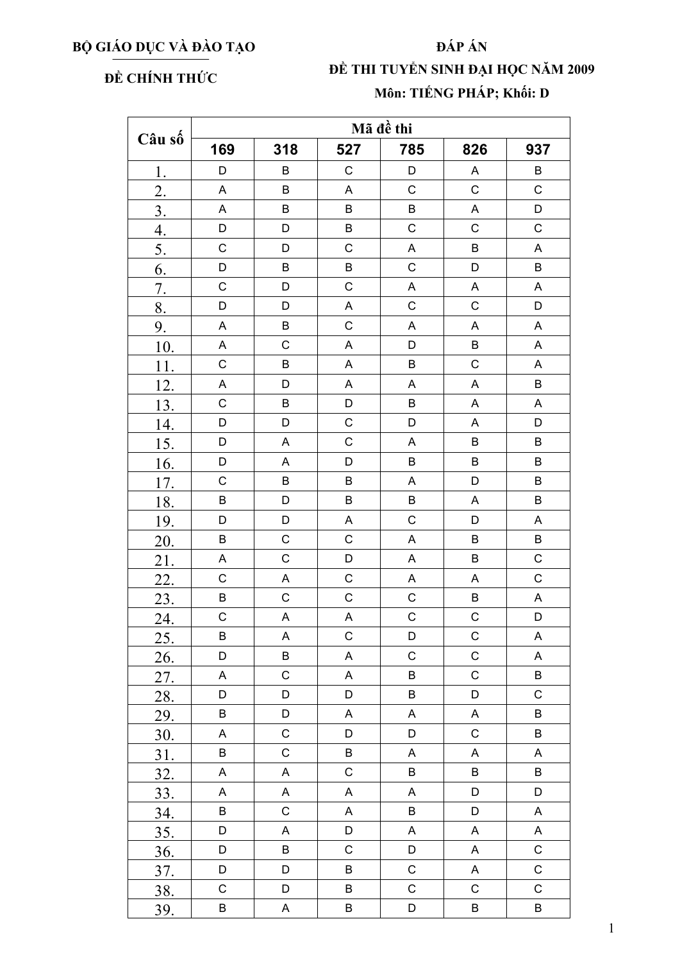## BỘ GIÁO DỤC VÀ ĐÀO TẠO

## ĐẤP ÁN

## ĐỀ CHÍNH THỨC

## ĐỀ THI TUYỀN SINH ĐẠI HỌC NĂM 2009 Môn: TIẾNG PHÁP; Khối: D

| Câu số           | Mã đề thi                 |             |             |                           |                           |             |  |  |  |
|------------------|---------------------------|-------------|-------------|---------------------------|---------------------------|-------------|--|--|--|
|                  | 169                       | 318         | 527         | 785                       | 826                       | 937         |  |  |  |
| 1.               | D                         | $\sf B$     | $\mathsf C$ | D                         | A                         | B           |  |  |  |
| $\overline{2}$ . | A                         | $\sf B$     | A           | $\mathsf C$               | $\mathsf C$               | $\mathsf C$ |  |  |  |
| $\overline{3}$ . | $\boldsymbol{\mathsf{A}}$ | $\sf B$     | $\sf B$     | $\sf B$                   | $\boldsymbol{\mathsf{A}}$ | $\mathsf D$ |  |  |  |
| $\overline{4}$ . | D                         | D           | $\sf B$     | $\mathsf C$               | $\mathsf C$               | $\mathsf C$ |  |  |  |
| 5.               | $\mathsf C$               | D           | $\mathsf C$ | A                         | $\sf B$                   | $\mathsf A$ |  |  |  |
| 6.               | D                         | $\sf B$     | $\sf B$     | $\mathsf C$               | D                         | $\sf B$     |  |  |  |
| 7.               | $\mathsf C$               | D           | $\mathsf C$ | $\mathsf A$               | A                         | A           |  |  |  |
| 8.               | D                         | D           | A           | $\mathsf C$               | $\mathsf C$               | D           |  |  |  |
| 9.               | $\overline{\mathsf{A}}$   | $\sf B$     | $\mathsf C$ | $\boldsymbol{\mathsf{A}}$ | A                         | $\mathsf A$ |  |  |  |
| 10.              | A                         | $\mathsf C$ | $\mathsf A$ | D                         | B                         | A           |  |  |  |
| 11.              | $\mathsf C$               | $\sf B$     | A           | $\sf B$                   | $\mathsf C$               | A           |  |  |  |
| 12.              | $\boldsymbol{\mathsf{A}}$ | D           | A           | A                         | A                         | $\sf B$     |  |  |  |
| 13.              | $\mathsf C$               | $\sf B$     | D           | B                         | A                         | A           |  |  |  |
| 14.              | D                         | D           | $\mathsf C$ | D                         | A                         | D           |  |  |  |
| 15.              | D                         | A           | $\mathsf C$ | $\boldsymbol{\mathsf{A}}$ | $\sf B$                   | $\sf B$     |  |  |  |
| 16.              | D                         | A           | D           | $\sf B$                   | $\sf B$                   | $\sf B$     |  |  |  |
| 17.              | $\mathsf C$               | $\sf B$     | $\sf B$     | Α                         | D                         | $\sf B$     |  |  |  |
| 18.              | $\sf B$                   | D           | B           | $\sf B$                   | $\mathsf A$               | $\sf B$     |  |  |  |
| 19.              | D                         | D           | A           | $\mathsf C$               | D                         | A           |  |  |  |
| 20.              | B                         | $\mathsf C$ | $\mathsf C$ | $\boldsymbol{\mathsf{A}}$ | B                         | $\sf B$     |  |  |  |
| 21.              | $\boldsymbol{\mathsf{A}}$ | $\mathsf C$ | D           | $\boldsymbol{\mathsf{A}}$ | $\sf B$                   | $\mathsf C$ |  |  |  |
| 22.              | $\mathsf C$               | A           | $\mathsf C$ | $\boldsymbol{\mathsf{A}}$ | A                         | $\mathsf C$ |  |  |  |
| 23.              | $\mathsf B$               | $\mathsf C$ | $\mathsf C$ | $\mathsf C$               | B                         | A           |  |  |  |
| 24.              | $\mathsf C$               | A           | $\mathsf A$ | $\mathsf C$               | $\mathsf C$               | D           |  |  |  |
| 25.              | B                         | A           | $\mathsf C$ | D                         | $\mathsf C$               | Α           |  |  |  |
| <u>26.</u>       | D                         | B           | A           | $\mathsf C$               | C                         | Α           |  |  |  |
| 27.              | $\mathsf A$               | $\mathsf C$ | $\mathsf A$ | $\sf B$                   | $\mathsf C$               | $\sf B$     |  |  |  |
| 28.              | D                         | D           | D           | B                         | D                         | $\mathsf C$ |  |  |  |
| 29.              | B                         | D           | A           | A                         | A                         | $\sf B$     |  |  |  |
| 30.              | $\mathsf A$               | $\mathsf C$ | D           | D                         | $\mathsf C$               | $\sf B$     |  |  |  |
| 31.              | B                         | $\mathsf C$ | B           | A                         | A                         | A           |  |  |  |
| <u>32.</u>       | A                         | A           | $\mathsf C$ | B                         | B                         | B           |  |  |  |
| 33.              | A                         | A           | A           | $\mathsf A$               | D                         | D           |  |  |  |
| 34.              | B                         | $\mathsf C$ | $\mathsf A$ | $\sf B$                   | D                         | A           |  |  |  |
| 35.              | D                         | A           | D           | A                         | A                         | A           |  |  |  |
| 36.              | D                         | B           | $\mathsf C$ | D                         | $\mathsf A$               | $\mathsf C$ |  |  |  |
| 37.              | D                         | D           | B           | $\mathsf C$               | A                         | $\mathsf C$ |  |  |  |
| 38.              | $\mathsf C$               | D           | B           | $\mathsf C$               | $\mathsf C$               | $\mathsf C$ |  |  |  |
| 39.              | B                         | $\mathsf A$ | $\sf B$     | D                         | B                         | $\sf B$     |  |  |  |